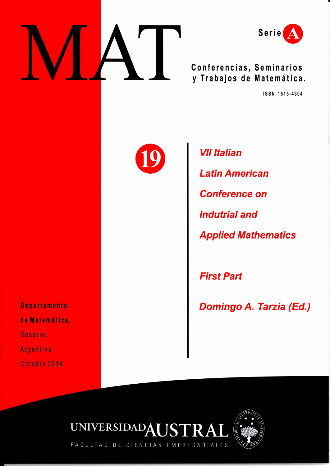



**Conferencias, Seminarios y Trabajos de Matemática.** 

**ISSN:1515-4904** 

**Departamento de Matemática,**  Rosario,

Argentina

Octubre 2014



**VII Italian Latín American Conference on Indutrial and Applied Mathematics** 

**First Part** 

**Domingo A. Tarzia (Ed.)** 





FACULTAD DE CIENCIAS EMPRESARIALES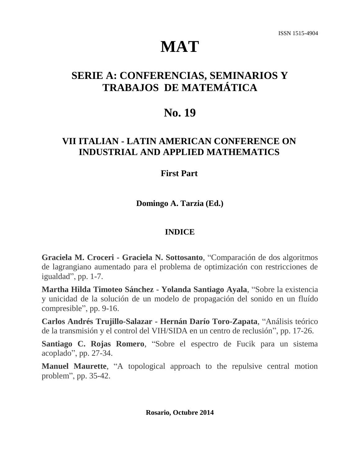# **MAT**

# **SERIE A: CONFERENCIAS, SEMINARIOS Y TRABAJOS DE MATEMÁTICA**

## **No. 19**

### **VII ITALIAN - LATIN AMERICAN CONFERENCE ON INDUSTRIAL AND APPLIED MATHEMATICS**

### **First Part**

**Domingo A. Tarzia (Ed.)**

### **INDICE**

**Graciela M. Croceri - Graciela N. Sottosanto**, "Comparación de dos algoritmos de lagrangiano aumentado para el problema de optimización con restricciones de igualdad", pp. 1-7.

**Martha Hilda Timoteo Sánchez - Yolanda Santiago Ayala**, "Sobre la existencia y unicidad de la solución de un modelo de propagación del sonido en un fluído compresible", pp. 9-16.

**Carlos Andrés Trujillo-Salazar - Hernán Darío Toro-Zapata**, "Análisis teórico de la transmisión y el control del VIH/SIDA en un centro de reclusión", pp. 17-26.

**Santiago C. Rojas Romero**, "Sobre el espectro de Fucik para un sistema acoplado", pp. 27-34.

**Manuel Maurette**, "A topological approach to the repulsive central motion problem", pp. 35-42.

**Rosario, Octubre 2014**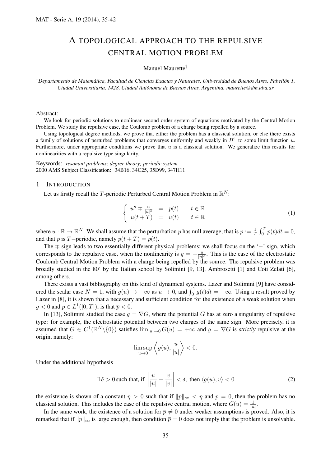### A TOPOLOGICAL APPROACH TO THE REPULSIVE CENTRAL MOTION PROBLEM

#### Manuel Maurette*†*

*†Departamento de Matematica, Facultad de Ciencias Exactas y Naturales, Universidad de Buenos Aires. Pabell ´ on 1, ´ Ciudad Universitaria, 1428, Ciudad Autonoma de Buenos Aires, Argentina. maurette@dm.uba.ar ´*

#### Abstract:

We look for periodic solutions to nonlinear second order system of equations motivated by the Central Motion Problem. We study the repulsive case, the Coulomb problem of a charge being repelled by a source.

Using topological degree methods, we prove that either the problem has a classical solution, or else there exists a family of solutions of perturbed problems that converges uniformly and weakly in  $H<sup>1</sup>$  to some limit function  $u$ . Furthermore, under appropriate conditions we prove that *u* is a classical solution. We generalize this results for nonlinearities with a repulsive type singularity.

Keywords: *resonant problems; degree theory; periodic system* 2000 AMS Subject Classification: 34B16, 34C25, 35D99, 347H11

#### 1 INTRODUCTION

Let us firstly recall the  $T$ -periodic Perturbed Central Motion Problem in  $\mathbb{R}^N$ :

$$
\begin{cases}\nu'' \mp \frac{u}{|u|^3} = p(t) & t \in \mathbb{R} \\
u(t+T) = u(t) & t \in \mathbb{R}\n\end{cases}
$$
\n(1)

where  $u : \mathbb{R} \to \mathbb{R}^N$ . We shall assume that the perturbation *p* has null average, that is  $\bar{p} := \frac{1}{T} \int_0^T p(t) dt = 0$ , and that *p* is *T*−periodic, namely  $p(t + T) = p(t)$ .

The *∓* sign leads to two essentially different physical problems; we shall focus on the '*−*' sign, which corresponds to the repulsive case, when the nonlinearity is  $g = -\frac{u}{|u|}$  $\frac{u}{|u|^3}$ . This is the case of the electrostatic Coulomb Central Motion Problem with a charge being repelled by the source. The repulsive problem was broadly studied in the 80' by the Italian school by Solimini [9, 13], Ambrosetti [1] and Coti Zelati [6], among others.

There exists a vast bibliography on this kind of dynamical systems. Lazer and Solimini [9] have considered the scalar case  $N = 1$ , with  $g(u) \to -\infty$  as  $u \to 0$ , and  $\int_0^1 g(t)dt = -\infty$ . Using a result proved by Lazer in [8], it is shown that a necessary and sufficient condition for the existence of a weak solution when  $g < 0$  and  $p \in L^1([0, T])$ , is that  $\overline{p} < 0$ .

In [13], Solimini studied the case  $g = \nabla G$ , where the potential *G* has at zero a singularity of repulsive type: for example, the electrostatic potential between two charges of the same sign. More precisely, it is assumed that  $G \in C^1(\mathbb{R}^N \setminus \{0\})$  satisfies  $\lim_{|u| \to 0} G(u) = +\infty$  and  $g = \nabla G$  is strictly repulsive at the origin, namely:

$$
\limsup_{u \to 0} \left\langle g(u), \frac{u}{|u|} \right\rangle < 0.
$$

Under the additional hypothesis

$$
\exists \delta > 0 \text{ such that, if } \left| \frac{u}{|u|} - \frac{v}{|v|} \right| < \delta, \text{ then } \langle g(u), v \rangle < 0 \tag{2}
$$

the existence is shown of a constant  $\eta > 0$  such that if  $||p||_{\infty} < \eta$  and  $\overline{p} = 0$ , then the problem has no classical solution. This includes the case of the repulsive central motion, where  $G(u) = \frac{1}{|u|}$ .

In the same work, the existence of a solution for  $\bar{p} \neq 0$  under weaker assumptions is proved. Also, it is remarked that if  $||p||_{\infty}$  is large enough, then condition  $\bar{p} = 0$  does not imply that the problem is unsolvable.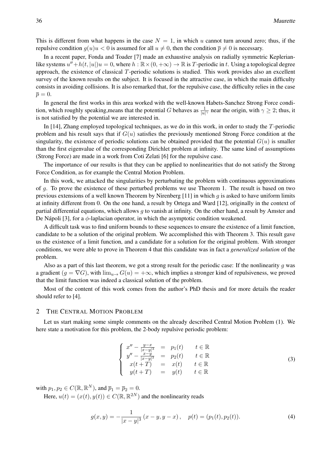This is different from what happens in the case  $N = 1$ , in which *u* cannot turn around zero; thus, if the repulsive condition  $g(u)u < 0$  is assumed for all  $u \neq 0$ , then the condition  $\bar{p} \neq 0$  is necessary.

In a recent paper, Fonda and Toader [7] made an exhaustive analysis on radially symmetric Keplerianlike systems  $u'' + h(t, |u|)u = 0$ , where  $h : \mathbb{R} \times (0, +\infty) \to \mathbb{R}$  is T-periodic in *t*. Using a topological degree approach, the existence of classical *T*-periodic solutions is studied. This work provides also an excellent survey of the known results on the subject. It is focused in the attractive case, in which the main difficulty consists in avoiding collisions. It is also remarked that, for the repulsive case, the difficulty relies in the case  $\bar{p} = 0.$ 

In general the first works in this area worked with the well-known Habets-Sanchez Strong Force condition, which roughly speaking,means that the potential *G* behaves as  $\frac{1}{|u|^\gamma}$  near the origin, with  $\gamma \ge 2$ ; thus, it is not satisfied by the potential we are interested in.

In [14], Zhang employed topological techniques, as we do in this work, in order to study the *T*-periodic problem and his result says that if *G*(*u*) satisfies the previously mentioned Strong Force condition at the singularity, the existence of periodic solutions can be obtained provided that the potential  $G(u)$  is smaller than the first eigenvalue of the corresponding Dirichlet problem at infinity. The same kind of assumptions (Strong Force) are made in a work from Coti Zelati [6] for the repulsive case.

The importance of our results is that they can be applied to nonlinearities that do not satisfy the Strong Force Condition, as for example the Central Motion Problem.

In this work, we attacked the singularities by perturbating the problem with continuous approximations of *g*. To prove the existence of these perturbed problems we use Theorem 1. The result is based on two previous extensions of a well known Theorem by Nirenberg [11] in which *g* is asked to have uniform limits at infinity different from 0. On the one hand, a result by Ortega and Ward [12], originally in the context of partial differential equations, which allows *g* to vanish at infinity. On the other hand, a result by Amster and De Nápoli [3], for a  $\phi$ -laplacian operator, in which the asymptotic condition weakened.

A difficult task was to find uniform bounds to these sequences to ensure the existence of a limit function, candidate to be a solution of the original problem. We accomplished this with Theorem 3. This result gave us the existence of a limit function, and a candidate for a solution for the original problem. With stronger conditions, we were able to prove in Theorem 4 that this candidate was in fact a *generalized solution* of the problem.

Also as a part of this last theorem, we got a strong result for the periodic case: If the nonlinearity *g* was a gradient  $(g = \nabla G)$ , with  $\lim_{u \to G} (u) = +\infty$ , which implies a stronger kind of repulsiveness, we proved that the limit function was indeed a classical solution of the problem.

Most of the content of this work comes from the author's PhD thesis and for more details the reader should refer to [4].

#### 2 THE CENTRAL MOTION PROBLEM

Let us start making some simple comments on the already described Central Motion Problem (1). We here state a motivation for this problem, the 2-body repulsive periodic problem:

$$
\begin{cases}\n x'' - \frac{y-x}{|x-y|^3} = p_1(t) & t \in \mathbb{R} \\
 y'' - \frac{x-y}{|x-y|^3} = p_2(t) & t \in \mathbb{R} \\
 x(t+T) = x(t) & t \in \mathbb{R} \\
 y(t+T) = y(t) & t \in \mathbb{R}\n\end{cases}
$$
\n(3)

with  $p_1, p_2 \in C(\mathbb{R}, \mathbb{R}^N)$ , and  $\overline{p}_1 = \overline{p}_2 = 0$ .

Here,  $u(t) = (x(t), y(t)) \in C(\mathbb{R}, \mathbb{R}^{2N})$  and the nonlinearity reads

$$
g(x,y) = -\frac{1}{|x-y|^3} (x-y, y-x), \quad p(t) = (p_1(t), p_2(t)).
$$
 (4)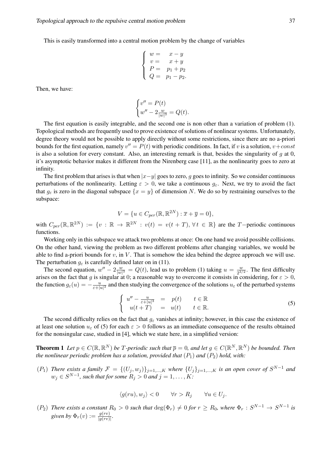This is easily transformed into a central motion problem by the change of variables

$$
\left\{ \begin{array}{ll} w = & x - y \\ v = & x + y \\ P = & p_1 + p_2 \\ Q = & p_1 - p_2. \end{array} \right.
$$

Then, we have:

$$
\begin{cases} v'' = P(t) \\ w'' - 2\frac{w}{|w|^3} = Q(t). \end{cases}
$$

The first equation is easily integrable, and the second one is non other than a variation of problem (1). Topological methods are frequently used to prove existence of solutions of nonlinear systems. Unfortunately, degree theory would not be possible to apply directly without some restrictions, since there are no a-priori bounds for the first equation, namely  $v'' = P(t)$  with periodic conditions. In fact, if *v* is a solution,  $v + const$ is also a solution for every constant. Also, an interesting remark is that, besides the singularity of *g* at 0, it's asymptotic behavior makes it different from the Nirenberg case [11], as the nonlinearity goes to zero at infinity.

The first problem that arises is that when *|x−y|* goes to zero, *g* goes to infinity. So we consider continuous perturbations of the nonlinearity. Letting  $\varepsilon > 0$ , we take a continuous  $g_{\varepsilon}$ . Next, we try to avoid the fact that  $g_{\varepsilon}$  is zero in the diagonal subspace  $\{x = y\}$  of dimension *N*. We do so by restraining ourselves to the subspace:

$$
V = \{ u \in C_{per}(\mathbb{R}, \mathbb{R}^{2N}) : \overline{x} + \overline{y} = 0 \},
$$

with  $C_{per}(\mathbb{R}, \mathbb{R}^{2N}) := \{v : \mathbb{R} \to \mathbb{R}^{2N} : v(t) = v(t+T), \forall t \in \mathbb{R}\}\$  are the T-periodic continuous functions.

Working only in this subspace we attack two problems at once: On one hand we avoid possible collisions. On the other hand, viewing the problem as two different problems after changing variables, we would be able to find a-priori bounds for *v*, in *V* . That is somehow the idea behind the degree approach we will use. The perturbation  $g_{\varepsilon}$  is carefully defined later on in (11).

The second equation,  $w'' - 2\frac{w}{|w|}$  $\frac{w}{|w|^3} = Q(t)$ , lead us to problem (1) taking  $u = \frac{w}{2^{3/3}}$  $\frac{w}{2^{3/2}}$ . The first difficulty arises on the fact that *g* is singular at 0; a reasonable way to overcome it consists in considering, for  $\varepsilon > 0$ , the function  $g_{\varepsilon}(u) = -\frac{u}{\varepsilon + 1}$  $\frac{u}{\varepsilon + |u|^3}$  and then studying the convergence of the solutions  $u_\varepsilon$  of the perturbed systems

$$
\begin{cases}\nu'' - \frac{u}{\varepsilon + |u|^3} = p(t) & t \in \mathbb{R} \\
u(t+T) = u(t) & t \in \mathbb{R}.\n\end{cases}
$$
\n(5)

The second difficulty relies on the fact that  $g_{\varepsilon}$  vanishes at infinity; however, in this case the existence of at least one solution  $u_{\varepsilon}$  of (5) for each  $\varepsilon > 0$  follows as an immediate consequence of the results obtained for the nonsingular case, studied in [4], which we state here, in a simplified version:

**Theorem 1** Let  $p \in C(\mathbb{R}, \mathbb{R}^N)$  be T-periodic such that  $\overline{p} = 0$ , and let  $g \in C(\mathbb{R}^N, \mathbb{R}^N)$  be bounded. Then *the nonlinear periodic problem has a solution, provided that*  $(P_1)$  *and*  $(P_2)$  *hold, with:* 

 $(P_1)$  There exists a family  $\mathcal{F} = \{(U_j, w_j)\}_{j=1,\dots,K}$  where  $\{U_j\}_{j=1,\dots,K}$  is an open cover of  $S^{N-1}$  and  $w_j \in S^{N-1}$ , such that for some  $R_j > 0$  and  $j = 1, \ldots, K$ :

$$
\langle g(ru), w_j \rangle < 0 \qquad \forall r > R_j \qquad \forall u \in U_j.
$$

 $(P_2)$  There exists a constant  $R_0 > 0$  such that  $\deg(\Phi_r) \neq 0$  for  $r \geq R_0$ , where  $\Phi_r : S^{N-1} \to S^{N-1}$  is  $given by \Phi_r(v) := \frac{g(rv)}{|g(rv)|}$ .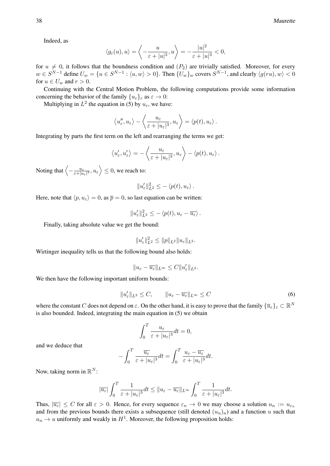Indeed, as

$$
\langle g_{\varepsilon}(u), u \rangle = \left\langle -\frac{u}{\varepsilon + |u|^3}, u \right\rangle = -\frac{|u|^2}{\varepsilon + |u|^3} < 0,
$$

for  $u \neq 0$ , it follows that the boundness condition and  $(P_2)$  are trivially satisfied. Moreover, for every  $w \in S^{N-1}$  define  $U_w = \{u \in S^{N-1} : \langle u, w \rangle > 0\}$ . Then  $\{U_w\}_w$  covers  $S^{N-1}$ , and clearly  $\langle g(ru), w \rangle < 0$ for  $u \in U_w$  and  $r > 0$ .

Continuing with the Central Motion Problem, the following computations provide some information concerning the behavior of the family  ${u_{\varepsilon}}_{\varepsilon}$  as  $\varepsilon \to 0$ :

Multiplying in  $L^2$  the equation in (5) by  $u_{\varepsilon}$ , we have:

$$
\langle u''_{\varepsilon}, u_{\varepsilon} \rangle - \langle \frac{u_{\varepsilon}}{\varepsilon + |u_{\varepsilon}|^3}, u_{\varepsilon} \rangle = \langle p(t), u_{\varepsilon} \rangle.
$$

Integrating by parts the first term on the left and rearranging the terms we get:

$$
\left\langle u_\varepsilon',u_\varepsilon'\right\rangle=-\left\langle \frac{u_\varepsilon}{\varepsilon+|u_\varepsilon|^3},u_\varepsilon\right\rangle-\left\langle p(t),u_\varepsilon\right\rangle.
$$

Noting that  $\left\langle -\frac{u_{\varepsilon}}{\varepsilon + u_{\varepsilon}} \right\rangle$  $\left\langle \frac{u_{\varepsilon}}{\varepsilon + |u_{\varepsilon}|^3}, u_{\varepsilon} \right\rangle \leq 0$ , we reach to:

$$
||u'_{\varepsilon}||_{L^2}^2 \le -\langle p(t), u_{\varepsilon} \rangle.
$$

Here, note that  $\langle p, u_{\varepsilon} \rangle = 0$ , as  $\overline{p} = 0$ , so last equation can be written:

$$
||u'_{\varepsilon}||_{L^2}^2 \le -\langle p(t), u_{\varepsilon} - \overline{u_{\varepsilon}} \rangle.
$$

Finally, taking absolute value we get the bound:

$$
||u'_{\varepsilon}||_{L^{2}}^{2} \leq ||p||_{L^{2}}||u_{\varepsilon}||_{L^{2}}.
$$

Wirtinger inequality tells us that the following bound also holds:

$$
||u_{\varepsilon}-\overline{u_{\varepsilon}}||_{L^{\infty}} \leq C||u_{\varepsilon}'||_{L^{2}}.
$$

We then have the following important uniform bounds:

$$
||u'_{\varepsilon}||_{L^2} \leq C, \qquad ||u_{\varepsilon} - \overline{u_{\varepsilon}}||_{L^{\infty}} \leq C
$$
\n
$$
(6)
$$

where the constant *C* does not depend on  $\varepsilon$ . On the other hand, it is easy to prove that the family  $\{\overline{u}_{\varepsilon}\}_\varepsilon \subset \mathbb{R}^N$ is also bounded. Indeed, integrating the main equation in (5) we obtain

$$
\int_0^T \frac{u_{\varepsilon}}{\varepsilon + |u_{\varepsilon}|^3} dt = 0,
$$

and we deduce that

$$
-\int_0^T \frac{\overline{u_{\varepsilon}}}{\varepsilon + |u_{\varepsilon}|^3} dt = \int_0^T \frac{u_{\varepsilon} - \overline{u_{\varepsilon}}}{\varepsilon + |u_{\varepsilon}|^3} dt.
$$

Now, taking norm in R *N* :

$$
|\overline{u_{\varepsilon}}|\int_0^T \frac{1}{\varepsilon+|u_{\varepsilon}|^3}dt \leq ||u_{\varepsilon}-\overline{u_{\varepsilon}}||_{L^{\infty}}\int_0^T \frac{1}{\varepsilon+|u_{\varepsilon}|^3}dt.
$$

Thus,  $|\overline{u_{\varepsilon}}| \leq C$  for all  $\varepsilon > 0$ . Hence, for every sequence  $\varepsilon_n \to 0$  we may choose a solution  $u_n := u_{\varepsilon_n}$ and from the previous bounds there exists a subsequence (still denoted  $(u_n)_n$ ) and a function  $u$  such that  $u_n \to u$  uniformly and weakly in  $H^1$ . Moreover, the following proposition holds: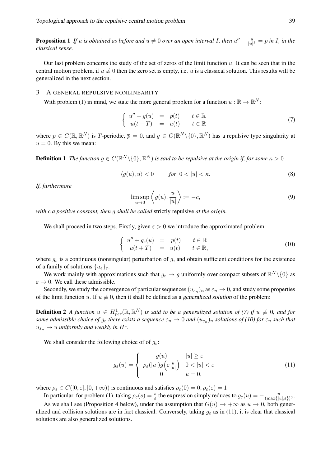**Proposition 1** *If u is obtained as before and*  $u \neq 0$  *over an open interval I, then*  $u'' - \frac{u}{|u|}$  $\frac{u}{|u|^3} = p$  *in I, in the classical sense.*

Our last problem concerns the study of the set of zeros of the limit function *u*. It can be seen that in the central motion problem, if  $u \neq 0$  then the zero set is empty, i.e. *u* is a classical solution. This results will be generalized in the next section.

#### 3 A GENERAL REPULSIVE NONLINEARITY

With problem (1) in mind, we state the more general problem for a function  $u : \mathbb{R} \to \mathbb{R}^N$ :

$$
\begin{cases}\n u'' + g(u) &= p(t) & t \in \mathbb{R} \\
 u(t+T) &= u(t) & t \in \mathbb{R}\n\end{cases}
$$
\n(7)

where  $p \in C(\mathbb{R}, \mathbb{R}^N)$  is *T*-periodic,  $\overline{p} = 0$ , and  $g \in C(\mathbb{R}^N \setminus \{0\}, \mathbb{R}^N)$  has a repulsive type singularity at  $u = 0$ . By this we mean:

**Definition 1** The function  $g \in C(\mathbb{R}^N \setminus \{0\}, \mathbb{R}^N)$  is said to be repulsive at the origin if, for some  $\kappa > 0$ 

$$
\langle g(u), u \rangle < 0 \qquad \text{for } 0 < |u| < \kappa. \tag{8}
$$

*If, furthermore*

$$
\limsup_{u \to 0} \left\langle g(u), \frac{u}{|u|} \right\rangle := -c,\tag{9}
$$

*with c a positive constant, then g shall be called* strictly repulsive *at the origin.*

We shall proceed in two steps. Firstly, given  $\varepsilon > 0$  we introduce the approximated problem:

$$
\begin{cases}\nu'' + g_{\varepsilon}(u) = p(t) & t \in \mathbb{R} \\
u(t+T) = u(t) & t \in \mathbb{R},\n\end{cases}
$$
\n(10)

where  $g_{\varepsilon}$  is a continuous (nonsingular) perturbation of *g*, and obtain sufficient conditions for the existence of a family of solutions  $\{u_{\varepsilon}\}_{\varepsilon}$ .

We work mainly with approximations such that  $g_{\varepsilon} \to g$  uniformly over compact subsets of  $\mathbb{R}^N \setminus \{0\}$  as  $\varepsilon \to 0$ . We call these admissible.

Secondly, we study the convergence of particular sequences  $(u_{\epsilon_n})_n$  as  $\epsilon_n \to 0$ , and study some properties of the limit function *u*. If  $u \neq 0$ , then it shall be defined as a generalized solution of the problem:

**Definition 2** A function  $u \in H_{per}^1(\mathbb{R}, \mathbb{R}^N)$  is said to be a generalized solution of (7) if  $u \not\equiv 0$ , and for *some admissible choice of*  $g_\varepsilon$  *there exists a sequence*  $\varepsilon_n\to 0$  and  $(u_{\varepsilon_n})_n$  solutions of (10) for  $\varepsilon_n$  such that  $u_{\varepsilon_n} \to u$  *uniformly and weakly in*  $H^1$ .

We shall consider the following choice of of *gε*:

$$
g_{\varepsilon}(u) = \begin{cases} g(u) & |u| \geq \varepsilon \\ \rho_{\varepsilon}(|u|)g(\varepsilon \frac{u}{|u|}) & 0 < |u| < \varepsilon \\ 0 & u = 0, \end{cases}
$$
(11)

where  $\rho_{\varepsilon} \in C([0,\varepsilon], [0,+\infty))$  is continuous and satisfies  $\rho_{\varepsilon}(0) = 0, \rho_{\varepsilon}(\varepsilon) = 1$ 

In particular, for problem (1), taking  $\rho_{\varepsilon}(s) = \frac{s}{\varepsilon}$  the expression simply reduces to  $g_{\varepsilon}(u) = -\frac{u}{(\max\{|u|)^2\}}$  $\frac{u}{(\max\{|u|,\varepsilon\})^3}$ .

As we shall see (Proposition 4 below), under the assumption that  $G(u) \to +\infty$  as  $u \to 0$ , both generalized and collision solutions are in fact classical. Conversely, taking  $g_{\varepsilon}$  as in (11), it is clear that classical solutions are also generalized solutions.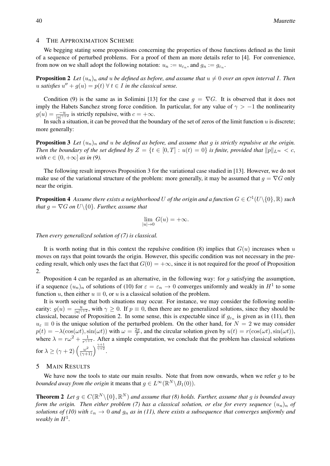#### 4 THE APPROXIMATION SCHEME

We begging stating some propositions concerning the properties of those functions defined as the limit of a sequence of perturbed problems. For a proof of them an more details refer to [4]. For convenience, from now on we shall adopt the following notation:  $u_n := u_{\varepsilon_n}$ , and  $g_n := g_{\varepsilon_n}$ .

**Proposition 2** Let  $(u_n)_n$  and  $u$  be defined as before, and assume that  $u \neq 0$  over an open interval I. Then *u satisfies*  $u'' + g(u) = p(t)$  ∀  $t \in I$  *in the classical sense.* 

Condition (9) is the same as in Solimini [13] for the case  $g = \nabla G$ . It is observed that it does not imply the Habets Sanchez strong force condition. In particular, for any value of  $\gamma > -1$  the nonlinearity  $g(u) = \frac{-u}{|u|^{\gamma+2}}$  is strictly repulsive, with  $c = +\infty$ .

In such a situation, it can be proved that the boundary of the set of zeros of the limit function *u* is discrete; more generally:

**Proposition 3** Let  $(u_n)_n$  and  $u$  be defined as before, and assume that  $q$  is strictly repulsive at the origin. *Then the boundary of the set defined by*  $Z = \{t \in [0, T] : u(t) = 0\}$  *is finite, provided that*  $||p||_{L^{\infty}} < c$ , *with*  $c \in (0, +\infty]$  *as in* (9).

The following result improves Proposition 3 for the variational case studied in [13]. However, we do not make use of the variational structure of the problem: more generally, it may be assumed that  $g = \nabla G$  only near the origin.

**Proposition 4** Assume there exists a neighborhood  $U$  of the origin and a function  $G \in C^1(U\backslash\{0\}, \mathbb{R})$  such *that*  $g = \nabla G$  *on*  $U \setminus \{0\}$ *. Further, assume that* 

$$
\lim_{|u| \to 0} G(u) = +\infty.
$$

*Then every generalized solution of (7) is classical.*

It is worth noting that in this context the repulsive condition  $(8)$  implies that  $G(u)$  increases when *u* moves on rays that point towards the origin. However, this specific condition was not necessary in the preceding result, which only uses the fact that  $G(0) = +\infty$ , since it is not required for the proof of Proposition 2.

Proposition 4 can be regarded as an alternative, in the following way: for *g* satisfying the assumption, if a sequence  $(u_n)_n$  of solutions of (10) for  $\varepsilon = \varepsilon_n \to 0$  converges uniformly and weakly in  $H^1$  to some function *u*, then either  $u \equiv 0$ , or *u* is a classical solution of the problem.

It is worth seeing that both situations may occur. For instance, we may consider the following nonlinearity:  $g(u) = \frac{u}{|u|^{\gamma+2}}$ , with  $\gamma \ge 0$ . If  $p \equiv 0$ , then there are no generalized solutions, since they should be classical, because of Proposition 2. In some sense, this is expectable since if  $g_{\varepsilon_n}$  is given as in (11), then  $u_{\varepsilon} \equiv 0$  is the unique solution of the perturbed problem. On the other hand, for  $N = 2$  we may consider  $p(t) = -\lambda(\cos(\omega t), \sin(\omega t))$  with  $\omega = \frac{2\pi}{T}$  $\frac{2\pi}{T}$ , and the circular solution given by  $u(t) = r(\cos(\omega t), \sin(\omega t)),$ where  $\lambda = r\omega^2 + \frac{1}{r\gamma^2}$  $\frac{1}{r^{\gamma+1}}$ . After a simple computation, we conclude that the problem has classical solutions  $\text{for } \lambda \geq (\gamma + 2) \left( \frac{\omega^2}{(\gamma + 1)} \right)^{\frac{\gamma + 1}{\gamma + 2}}.$ 

#### 5 MAIN RESULTS

We have now the tools to state our main results. Note that from now onwards, when we refer *q* to be *bounded away from the origin* it means that  $g \in L^\infty(\mathbb{R}^N \backslash B_1(0))$ .

**Theorem 2** Let  $g \in C(\mathbb{R}^N \setminus \{0\}, \mathbb{R}^N)$  and assume that (8) holds. Further, assume that g is bounded away *form the origin. Then either problem (7) has a classical solution, or else for every sequence*  $(u_n)_n$  *of solutions of (10) with*  $\varepsilon_n \to 0$  *and*  $g_n$  *as in (11), there exists a subsequence that converges uniformly and weakly in*  $H^1$ .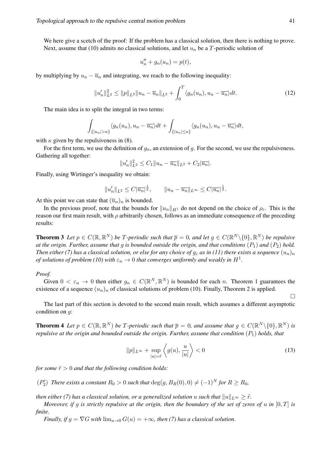We here give a scetch of the proof: If the problem has a classical solution, then there is nothing to prove. Next, assume that (10) admits no classical solutions, and let  $u_n$  be a *T*-periodic solution of

$$
u_n'' + g_n(u_n) = p(t),
$$

by multiplying by  $u_n - \overline{u}_n$  and integrating, we reach to the following inequality:

$$
||u'_n||_{L^2}^2 \le ||p||_{L^2}||u_n - \overline{u}_n||_{L^2} + \int_0^T \langle g_n(u_n), u_n - \overline{u_n} \rangle dt.
$$
 (12)

The main idea is to split the integral in two terms:

$$
\int_{\{|u_n|>\kappa\}}\langle g_n(u_n), u_n - \overline{u_n}\rangle dt + \int_{\{|u_n|\leq \kappa\}}\langle g_n(u_n), u_n - \overline{u_n}\rangle dt,
$$

with  $\kappa$  given by the repulsiveness in (8).

For the first term, we use the definition of *gn*, an extension of *g*. For the second, we use the repulsiveness. Gathering all together:

$$
||u'_n||_{L^2}^2 \leq C_1 ||u_n - \overline{u_n}||_{L^2} + C_2 |\overline{u_n}|.
$$

Finally, using Wirtinger's inequality we obtain:

$$
||u'_n||_{L^2} \leq C |\overline{u_n}|^{\frac{1}{2}}, \qquad ||u_n - \overline{u_n}||_{L^{\infty}} \leq C |\overline{u_n}|^{\frac{1}{2}}.
$$

At this point we can state that  $(\overline{u}_n)_n$  is bounded.

In the previous proof, note that the bounds for  $||u_n||_{H^1}$  do not depend on the choice of  $\rho_{\varepsilon}$ . This is the reason our first main result, with *ρ* arbitrarily chosen, follows as an immediate consequence of the preceding results:

**Theorem 3** Let  $p \in C(\mathbb{R}, \mathbb{R}^N)$  be T-periodic such that  $\overline{p} = 0$ , and let  $g \in C(\mathbb{R}^N \setminus \{0\}, \mathbb{R}^N)$  be repulsive *at the origin. Further, assume that g is bounded outside the origin, and that conditions*  $(P_1)$  *and*  $(P_2)$  *hold. Then either (7) has a classical solution, or else for any choice of*  $g_{\varepsilon}$  *as in (11) there exists a sequence*  $(u_n)_n$ *of solutions of problem (10) with*  $\varepsilon_n \to 0$  *that converges uniformly and weakly in*  $H^1$ .

#### *Proof.*

Given  $0 < \varepsilon_n \to 0$  then either  $g_n \in C(\mathbb{R}^N, \mathbb{R}^N)$  is bounded for each *n*. Theorem 1 guarantees the existence of a sequence  $(u_n)_n$  of classical solutions of problem (10). Finally, Theorem 2 is applied.

The last part of this section is devoted to the second main result, which assumes a different asymptotic condition on *g*:

**Theorem 4** Let  $p \in C(\mathbb{R}, \mathbb{R}^N)$  be T-periodic such that  $\overline{p} = 0$ , and assume that  $g \in C(\mathbb{R}^N \setminus \{0\}, \mathbb{R}^N)$  is *repulsive at the origin and bounded outside the origin. Further, assume that condition*  $(P_1)$  *holds, that* 

$$
||p||_{L^{\infty}} + \sup_{|u|=\tilde{r}} \left\langle g(u), \frac{u}{|u|} \right\rangle < 0
$$
\n(13)

*for some*  $\tilde{r} > 0$  *and that the following condition holds:* 

 $(P'_2)$  *There exists a constant*  $R_0 > 0$  *such that*  $\deg(g, B_R(0), 0) \neq (-1)^N$  for  $R \geq R_0$ ,

*then either (7) has a classical solution, or a generalized solution <i>u* such that  $||u||_{L^{\infty}} \geq \tilde{r}$ .

*Moreover, if g is strictly repulsive at the origin, then the boundary of the set of zeros of u in* [0*, T*] *is finite.*

*Finally, if*  $g = \nabla G$  *with*  $\lim_{u \to 0} G(u) = +\infty$ *, then* (7) has a classical solution.

 $\Box$